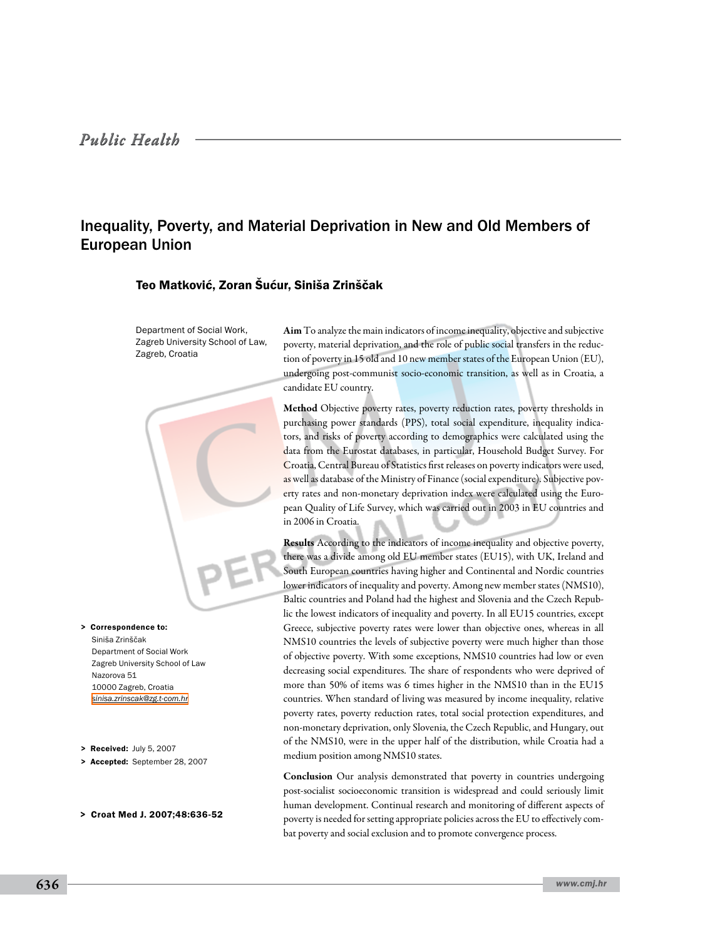# *Public Health*

# Inequality, Poverty, and Material Deprivation in New and Old Members of European Union

# Teo Matković, Zoran Šućur, Siniša Zrinščak

Department of Social Work, Zagreb University School of Law, Zagreb, Croatia

Aim To analyze the main indicators of income inequality, objective and subjective poverty, material deprivation, and the role of public social transfers in the reduction of poverty in 15 old and 10 new member states of the European Union (EU), undergoing post-communist socio-economic transition, as well as in Croatia, a candidate EU country.

Method Objective poverty rates, poverty reduction rates, poverty thresholds in purchasing power standards (PPS), total social expenditure, inequality indicators, and risks of poverty according to demographics were calculated using the data from the Eurostat databases, in particular, Household Budget Survey. For Croatia, Central Bureau of Statistics first releases on poverty indicators were used, as well as database of the Ministry of Finance (social expenditure). Subjective poverty rates and non-monetary deprivation index were calculated using the European Quality of Life Survey, which was carried out in 2003 in EU countries and in 2006 in Croatia.

Results According to the indicators of income inequality and objective poverty, there was a divide among old EU member states (EU15), with UK, Ireland and South European countries having higher and Continental and Nordic countries lower indicators of inequality and poverty. Among new member states (NMS10), Baltic countries and Poland had the highest and Slovenia and the Czech Republic the lowest indicators of inequality and poverty. In all EU15 countries, except Greece, subjective poverty rates were lower than objective ones, whereas in all NMS10 countries the levels of subjective poverty were much higher than those of objective poverty. With some exceptions, NMS10 countries had low or even decreasing social expenditures. The share of respondents who were deprived of more than 50% of items was 6 times higher in the NMS10 than in the EU15 countries. When standard of living was measured by income inequality, relative poverty rates, poverty reduction rates, total social protection expenditures, and non-monetary deprivation, only Slovenia, the Czech Republic, and Hungary, out of the NMS10, were in the upper half of the distribution, while Croatia had a medium position among NMS10 states.

Conclusion Our analysis demonstrated that poverty in countries undergoing post-socialist socioeconomic transition is widespread and could seriously limit human development. Continual research and monitoring of different aspects of poverty is needed for setting appropriate policies across the EU to effectively combat poverty and social exclusion and to promote convergence process.

Siniša Zrinščak Department of Social Work Zagreb University School of Law Nazorova 51 10000 Zagreb, Croatia *[sinisa.zrinscak@zg.t-com.hr](mailto: sinisa.zrinscak@zg.t-com.hr)* > Correspondence to:

- > Received: July 5, 2007
- > Accepted: September 28, 2007
- > Croat Med J. 2007;48:636-52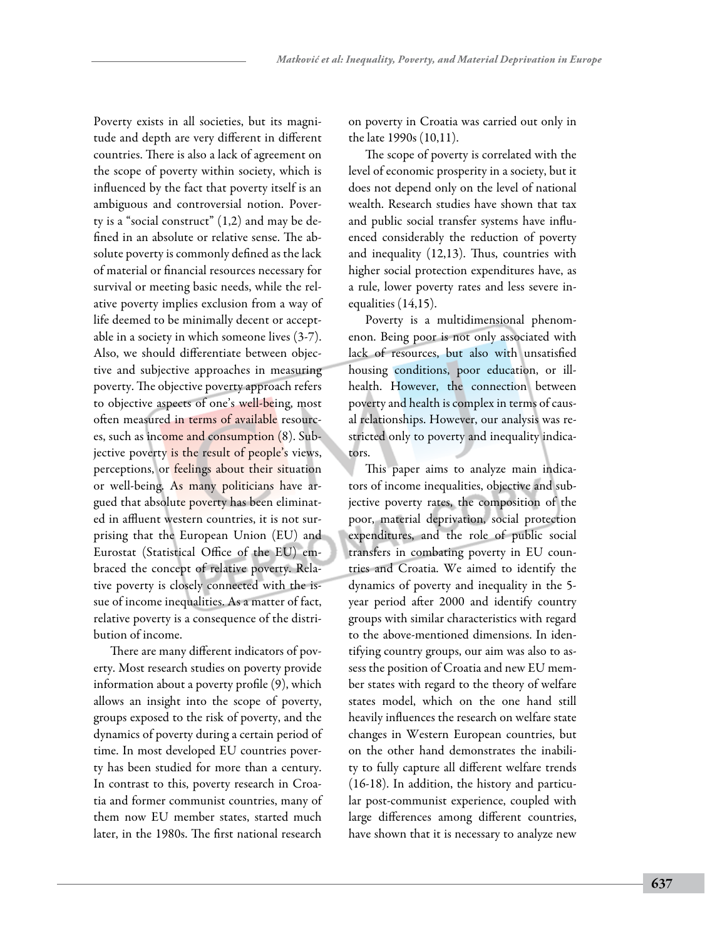Poverty exists in all societies, but its magnitude and depth are very different in different countries. There is also a lack of agreement on the scope of poverty within society, which is influenced by the fact that poverty itself is an ambiguous and controversial notion. Poverty is a "social construct" (1,2) and may be defined in an absolute or relative sense. The absolute poverty is commonly defined as the lack of material or financial resources necessary for survival or meeting basic needs, while the relative poverty implies exclusion from a way of life deemed to be minimally decent or acceptable in a society in which someone lives (3-7). Also, we should differentiate between objective and subjective approaches in measuring poverty. The objective poverty approach refers to objective aspects of one's well-being, most often measured in terms of available resources, such as income and consumption (8). Subjective poverty is the result of people's views, perceptions, or feelings about their situation or well-being. As many politicians have argued that absolute poverty has been eliminated in affluent western countries, it is not surprising that the European Union (EU) and Eurostat (Statistical Office of the EU) embraced the concept of relative poverty. Relative poverty is closely connected with the issue of income inequalities. As a matter of fact, relative poverty is a consequence of the distribution of income.

There are many different indicators of poverty. Most research studies on poverty provide information about a poverty profile (9), which allows an insight into the scope of poverty, groups exposed to the risk of poverty, and the dynamics of poverty during a certain period of time. In most developed EU countries poverty has been studied for more than a century. In contrast to this, poverty research in Croatia and former communist countries, many of them now EU member states, started much later, in the 1980s. The first national research on poverty in Croatia was carried out only in the late 1990s (10,11).

The scope of poverty is correlated with the level of economic prosperity in a society, but it does not depend only on the level of national wealth. Research studies have shown that tax and public social transfer systems have influenced considerably the reduction of poverty and inequality (12,13). Thus, countries with higher social protection expenditures have, as a rule, lower poverty rates and less severe inequalities (14,15).

Poverty is a multidimensional phenomenon. Being poor is not only associated with lack of resources, but also with unsatisfied housing conditions, poor education, or illhealth. However, the connection between poverty and health is complex in terms of causal relationships. However, our analysis was restricted only to poverty and inequality indicators.

This paper aims to analyze main indicators of income inequalities, objective and subjective poverty rates, the composition of the poor, material deprivation, social protection expenditures, and the role of public social transfers in combating poverty in EU countries and Croatia. We aimed to identify the dynamics of poverty and inequality in the 5 year period after 2000 and identify country groups with similar characteristics with regard to the above-mentioned dimensions. In identifying country groups, our aim was also to assess the position of Croatia and new EU member states with regard to the theory of welfare states model, which on the one hand still heavily influences the research on welfare state changes in Western European countries, but on the other hand demonstrates the inability to fully capture all different welfare trends (16-18). In addition, the history and particular post-communist experience, coupled with large differences among different countries, have shown that it is necessary to analyze new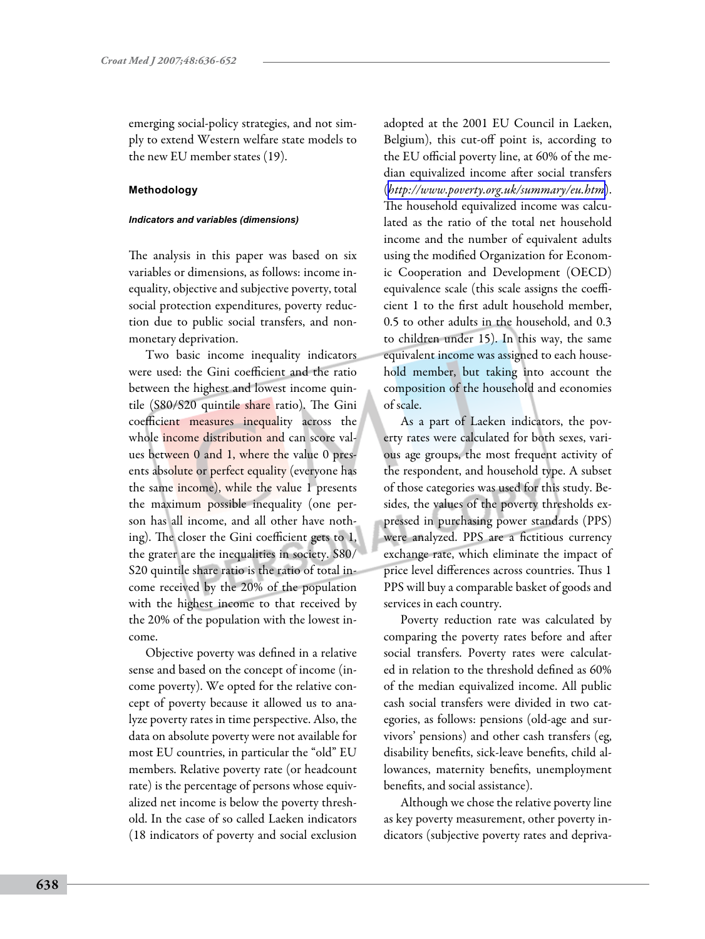emerging social-policy strategies, and not simply to extend Western welfare state models to the new EU member states (19).

# **Methodology**

#### *Indicators and variables (dimensions)*

The analysis in this paper was based on six variables or dimensions, as follows: income inequality, objective and subjective poverty, total social protection expenditures, poverty reduction due to public social transfers, and nonmonetary deprivation.

Two basic income inequality indicators were used: the Gini coefficient and the ratio between the highest and lowest income quintile (S80/S20 quintile share ratio). The Gini coefficient measures inequality across the whole income distribution and can score values between 0 and 1, where the value 0 presents absolute or perfect equality (everyone has the same income), while the value 1 presents the maximum possible inequality (one person has all income, and all other have nothing). The closer the Gini coefficient gets to 1, the grater are the inequalities in society. S80/ S20 quintile share ratio is the ratio of total income received by the 20% of the population with the highest income to that received by the 20% of the population with the lowest income.

Objective poverty was defined in a relative sense and based on the concept of income (income poverty). We opted for the relative concept of poverty because it allowed us to analyze poverty rates in time perspective. Also, the data on absolute poverty were not available for most EU countries, in particular the "old" EU members. Relative poverty rate (or headcount rate) is the percentage of persons whose equivalized net income is below the poverty threshold. In the case of so called Laeken indicators (18 indicators of poverty and social exclusion

adopted at the 2001 EU Council in Laeken, Belgium), this cut-off point is, according to the EU official poverty line, at 60% of the median equivalized income after social transfers (*<http://www.poverty.org.uk/summary/eu.htm>*). The household equivalized income was calculated as the ratio of the total net household income and the number of equivalent adults using the modified Organization for Economic Cooperation and Development (OECD) equivalence scale (this scale assigns the coefficient 1 to the first adult household member, 0.5 to other adults in the household, and 0.3 to children under 15). In this way, the same equivalent income was assigned to each household member, but taking into account the composition of the household and economies of scale.

As a part of Laeken indicators, the poverty rates were calculated for both sexes, various age groups, the most frequent activity of the respondent, and household type. A subset of those categories was used for this study. Besides, the values of the poverty thresholds expressed in purchasing power standards (PPS) were analyzed. PPS are a fictitious currency exchange rate, which eliminate the impact of price level differences across countries. Thus 1 PPS will buy a comparable basket of goods and services in each country.

Poverty reduction rate was calculated by comparing the poverty rates before and after social transfers. Poverty rates were calculated in relation to the threshold defined as 60% of the median equivalized income. All public cash social transfers were divided in two categories, as follows: pensions (old-age and survivors' pensions) and other cash transfers (eg, disability benefits, sick-leave benefits, child allowances, maternity benefits, unemployment benefits, and social assistance).

Although we chose the relative poverty line as key poverty measurement, other poverty indicators (subjective poverty rates and depriva-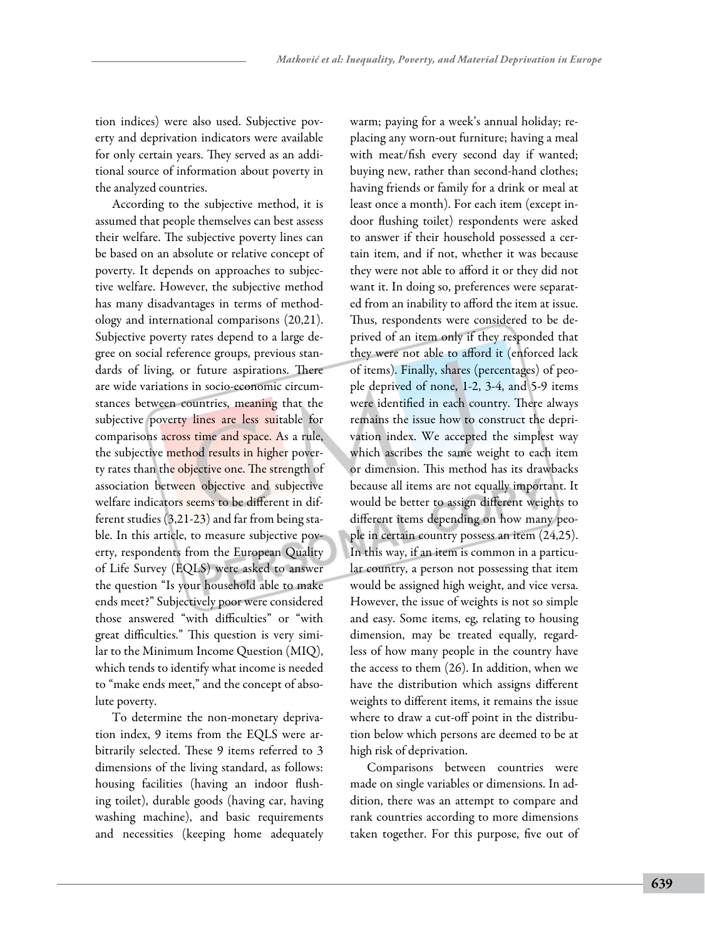tion indices) were also used. Subjective poverty and deprivation indicators were available for only certain years. They served as an additional source of information about poverty in the analyzed countries.

According to the subjective method, it is assumed that people themselves can best assess their welfare. The subjective poverty lines can be based on an absolute or relative concept of poverty. It depends on approaches to subjective welfare. However, the subjective method has many disadvantages in terms of methodology and international comparisons (20,21). Subjective poverty rates depend to a large degree on social reference groups, previous standards of living, or future aspirations. There are wide variations in socio-economic circumstances between countries, meaning that the subjective poverty lines are less suitable for comparisons across time and space. As a rule, the subjective method results in higher poverty rates than the objective one. The strength of association between objective and subjective welfare indicators seems to be different in different studies (3,21-23) and far from being stable. In this article, to measure subjective poverty, respondents from the European Quality of Life Survey (EQLS) were asked to answer the question "Is your household able to make ends meet?" Subjectively poor were considered those answered "with difficulties" or "with great difficulties." This question is very similar to the Minimum Income Question (MIQ), which tends to identify what income is needed to "make ends meet," and the concept of absolute poverty.

To determine the non-monetary deprivation index, 9 items from the EQLS were arbitrarily selected. These 9 items referred to 3 dimensions of the living standard, as follows: housing facilities (having an indoor flushing toilet), durable goods (having car, having washing machine), and basic requirements and necessities (keeping home adequately warm; paying for a week's annual holiday; replacing any worn-out furniture; having a meal with meat/fish every second day if wanted; buying new, rather than second-hand clothes; having friends or family for a drink or meal at least once a month). For each item (except indoor flushing toilet) respondents were asked to answer if their household possessed a certain item, and if not, whether it was because they were not able to afford it or they did not want it. In doing so, preferences were separated from an inability to afford the item at issue. Thus, respondents were considered to be deprived of an item only if they responded that they were not able to afford it (enforced lack of items). Finally, shares (percentages) of people deprived of none, 1-2, 3-4, and 5-9 items were identified in each country. There always remains the issue how to construct the deprivation index. We accepted the simplest way which ascribes the same weight to each item or dimension. This method has its drawbacks because all items are not equally important. It would be better to assign different weights to different items depending on how many people in certain country possess an item (24,25). In this way, if an item is common in a particular country, a person not possessing that item would be assigned high weight, and vice versa. However, the issue of weights is not so simple and easy. Some items, eg, relating to housing dimension, may be treated equally, regardless of how many people in the country have the access to them (26). In addition, when we have the distribution which assigns different weights to different items, it remains the issue where to draw a cut-off point in the distribution below which persons are deemed to be at high risk of deprivation.

Comparisons between countries were made on single variables or dimensions. In addition, there was an attempt to compare and rank countries according to more dimensions taken together. For this purpose, five out of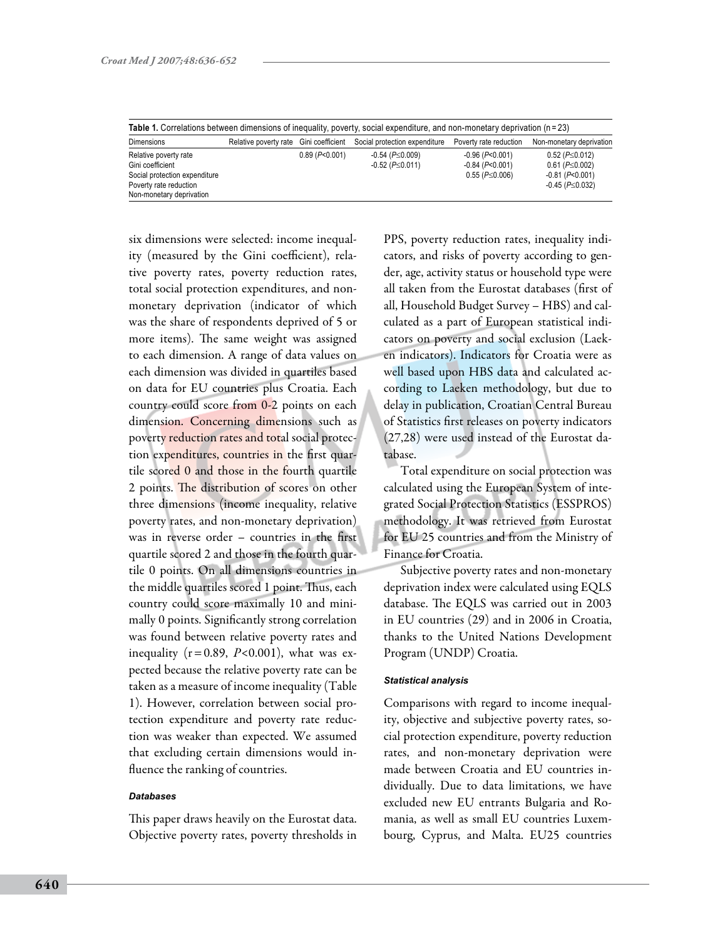| <b>Dimensions</b>             | Relative poverty rate Gini coefficient |                  | Social protection expenditure | Poverty rate reduction   | Non-monetary deprivation  |
|-------------------------------|----------------------------------------|------------------|-------------------------------|--------------------------|---------------------------|
| Relative poverty rate         |                                        | $0.89$ (P<0.001) | $-0.54$ ( $P \le 0.009$ )     | $-0.96$ ( $P<0.001$ )    | $0.52$ ( $P \le 0.012$ )  |
| Gini coefficient              |                                        |                  | $-0.52$ ( $P \le 0.011$ )     | $-0.84$ ( $P<0.001$ )    | $0.61$ ( $P \le 0.002$ )  |
| Social protection expenditure |                                        |                  |                               | $0.55$ ( $P \le 0.006$ ) | $-0.81$ ( $P<0.001$ )     |
| Poverty rate reduction        |                                        |                  |                               |                          | $-0.45$ ( $P \le 0.032$ ) |
| Non-monetary deprivation      |                                        |                  |                               |                          |                           |

six dimensions were selected: income inequality (measured by the Gini coefficient), relative poverty rates, poverty reduction rates, total social protection expenditures, and nonmonetary deprivation (indicator of which was the share of respondents deprived of 5 or more items). The same weight was assigned to each dimension. A range of data values on each dimension was divided in quartiles based on data for EU countries plus Croatia. Each country could score from 0-2 points on each dimension. Concerning dimensions such as poverty reduction rates and total social protection expenditures, countries in the first quartile scored 0 and those in the fourth quartile 2 points. The distribution of scores on other three dimensions (income inequality, relative poverty rates, and non-monetary deprivation) was in reverse order – countries in the first quartile scored 2 and those in the fourth quartile 0 points. On all dimensions countries in the middle quartiles scored 1 point. Thus, each country could score maximally 10 and minimally 0 points. Significantly strong correlation was found between relative poverty rates and inequality  $(r=0.89, P<0.001)$ , what was expected because the relative poverty rate can be taken as a measure of income inequality (Table 1). However, correlation between social protection expenditure and poverty rate reduction was weaker than expected. We assumed that excluding certain dimensions would influence the ranking of countries.

### *Databases*

This paper draws heavily on the Eurostat data. Objective poverty rates, poverty thresholds in

PPS, poverty reduction rates, inequality indicators, and risks of poverty according to gender, age, activity status or household type were all taken from the Eurostat databases (first of all, Household Budget Survey – HBS) and calculated as a part of European statistical indicators on poverty and social exclusion (Laeken indicators). Indicators for Croatia were as well based upon HBS data and calculated according to Laeken methodology, but due to delay in publication, Croatian Central Bureau of Statistics first releases on poverty indicators (27,28) were used instead of the Eurostat database.

Total expenditure on social protection was calculated using the European System of integrated Social Protection Statistics (ESSPROS) methodology. It was retrieved from Eurostat for EU 25 countries and from the Ministry of Finance for Croatia.

Subjective poverty rates and non-monetary deprivation index were calculated using EQLS database. The EQLS was carried out in 2003 in EU countries (29) and in 2006 in Croatia, thanks to the United Nations Development Program (UNDP) Croatia.

#### *Statistical analysis*

Comparisons with regard to income inequality, objective and subjective poverty rates, social protection expenditure, poverty reduction rates, and non-monetary deprivation were made between Croatia and EU countries individually. Due to data limitations, we have excluded new EU entrants Bulgaria and Romania, as well as small EU countries Luxembourg, Cyprus, and Malta. EU25 countries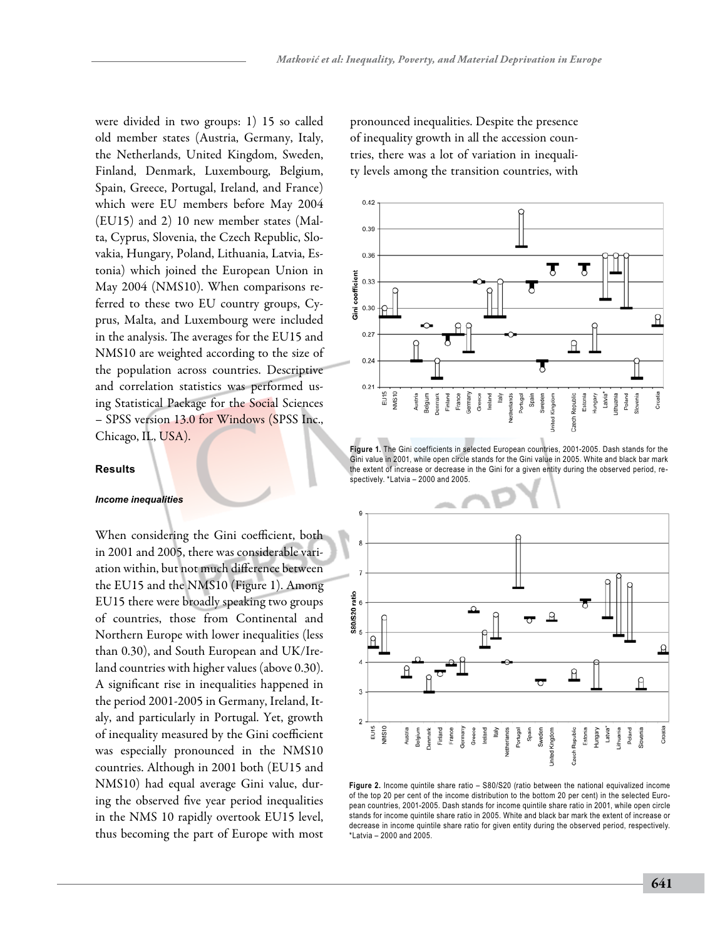were divided in two groups: 1) 15 so called old member states (Austria, Germany, Italy, the Netherlands, United Kingdom, Sweden, Finland, Denmark, Luxembourg, Belgium, Spain, Greece, Portugal, Ireland, and France) which were EU members before May 2004 (EU15) and 2) 10 new member states (Malta, Cyprus, Slovenia, the Czech Republic, Slovakia, Hungary, Poland, Lithuania, Latvia, Estonia) which joined the European Union in May 2004 (NMS10). When comparisons referred to these two EU country groups, Cyprus, Malta, and Luxembourg were included in the analysis. The averages for the EU15 and NMS10 are weighted according to the size of the population across countries. Descriptive and correlation statistics was performed using Statistical Package for the Social Sciences – SPSS version 13.0 for Windows (SPSS Inc., Chicago, IL, USA).

## **Results**

#### *Income inequalities*

When considering the Gini coefficient, both in 2001 and 2005, there was considerable variation within, but not much difference between the EU15 and the NMS10 (Figure 1). Among EU15 there were broadly speaking two groups of countries, those from Continental and Northern Europe with lower inequalities (less than 0.30), and South European and UK/Ireland countries with higher values (above 0.30). A significant rise in inequalities happened in the period 2001-2005 in Germany, Ireland, Italy, and particularly in Portugal. Yet, growth of inequality measured by the Gini coefficient was especially pronounced in the NMS10 countries. Although in 2001 both (EU15 and NMS10) had equal average Gini value, during the observed five year period inequalities in the NMS 10 rapidly overtook EU15 level, thus becoming the part of Europe with most

pronounced inequalities. Despite the presence of inequality growth in all the accession countries, there was a lot of variation in inequality levels among the transition countries, with



**Figure 1.** The Gini coefficients in selected European countries, 2001-2005. Dash stands for the Gini value in 2001, while open circle stands for the Gini value in 2005. White and black bar mark the extent of increase or decrease in the Gini for a given entity during the observed period, respectively. \*Latvia – 2000 and 2005.



**Figure 2.** Income quintile share ratio – S80/S20 (ratio between the national equivalized income of the top 20 per cent of the income distribution to the bottom 20 per cent) in the selected European countries, 2001-2005. Dash stands for income quintile share ratio in 2001, while open circle stands for income quintile share ratio in 2005. White and black bar mark the extent of increase or decrease in income quintile share ratio for given entity during the observed period, respectively. \*Latvia – 2000 and 2005.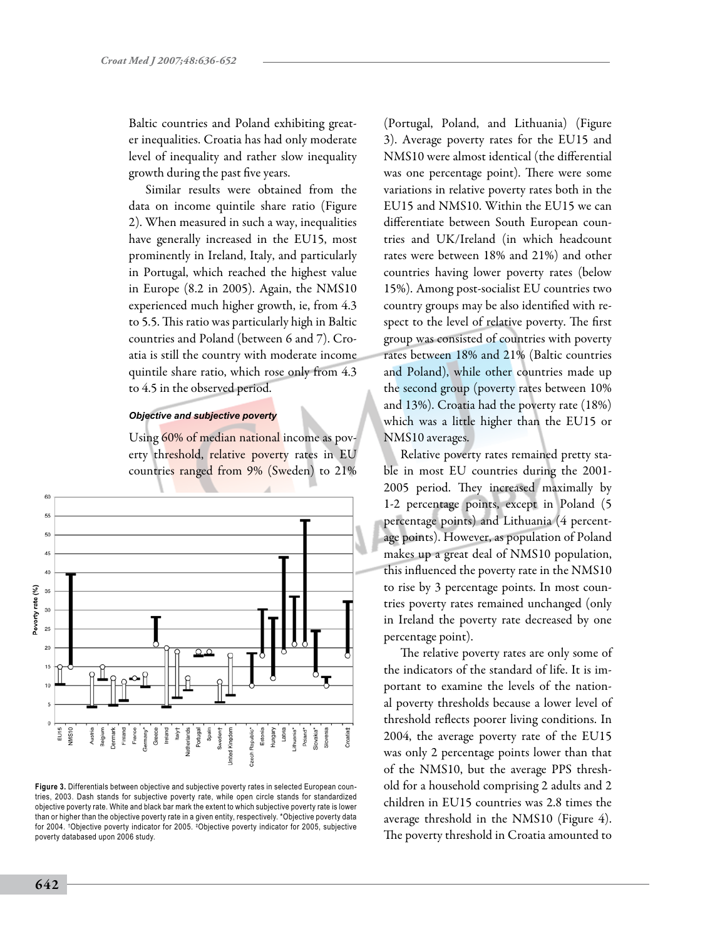Baltic countries and Poland exhibiting greater inequalities. Croatia has had only moderate level of inequality and rather slow inequality growth during the past five years.

Similar results were obtained from the data on income quintile share ratio (Figure 2). When measured in such a way, inequalities have generally increased in the EU15, most prominently in Ireland, Italy, and particularly in Portugal, which reached the highest value in Europe (8.2 in 2005). Again, the NMS10 experienced much higher growth, ie, from 4.3 to 5.5. This ratio was particularly high in Baltic countries and Poland (between 6 and 7). Croatia is still the country with moderate income quintile share ratio, which rose only from 4.3 to 4.5 in the observed period.

#### *Objective and subjective poverty*

Using 60% of median national income as poverty threshold, relative poverty rates in EU countries ranged from 9% (Sweden) to 21%



**Figure 3.** Differentials between objective and subjective poverty rates in selected European countries, 2003. Dash stands for subjective poverty rate, while open circle stands for standardized objective poverty rate. White and black bar mark the extent to which subjective poverty rate is lower than or higher than the objective poverty rate in a given entity, respectively. \*Objective poverty data for 2004. † Objective poverty indicator for 2005. ‡ Objective poverty indicator for 2005, subjective poverty databased upon 2006 study.

(Portugal, Poland, and Lithuania) (Figure 3). Average poverty rates for the EU15 and NMS10 were almost identical (the differential was one percentage point). There were some variations in relative poverty rates both in the EU15 and NMS10. Within the EU15 we can differentiate between South European countries and UK/Ireland (in which headcount rates were between 18% and 21%) and other countries having lower poverty rates (below 15%). Among post-socialist EU countries two country groups may be also identified with respect to the level of relative poverty. The first group was consisted of countries with poverty rates between 18% and 21% (Baltic countries and Poland), while other countries made up the second group (poverty rates between 10% and 13%). Croatia had the poverty rate (18%) which was a little higher than the EU15 or NMS10 averages.

Relative poverty rates remained pretty stable in most EU countries during the 2001- 2005 period. They increased maximally by 1-2 percentage points, except in Poland (5 percentage points) and Lithuania (4 percentage points). However, as population of Poland makes up a great deal of NMS10 population, this influenced the poverty rate in the NMS10 to rise by 3 percentage points. In most countries poverty rates remained unchanged (only in Ireland the poverty rate decreased by one percentage point).

The relative poverty rates are only some of the indicators of the standard of life. It is important to examine the levels of the national poverty thresholds because a lower level of threshold reflects poorer living conditions. In 2004, the average poverty rate of the EU15 was only 2 percentage points lower than that of the NMS10, but the average PPS threshold for a household comprising 2 adults and 2 children in EU15 countries was 2.8 times the average threshold in the NMS10 (Figure 4). The poverty threshold in Croatia amounted to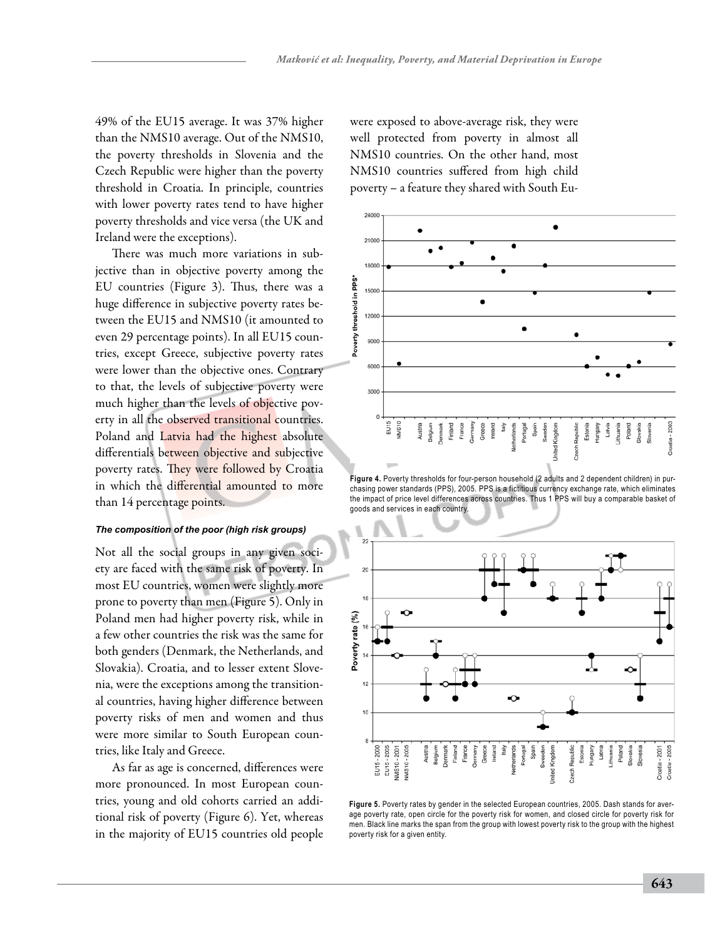49% of the EU15 average. It was 37% higher than the NMS10 average. Out of the NMS10, the poverty thresholds in Slovenia and the Czech Republic were higher than the poverty threshold in Croatia. In principle, countries with lower poverty rates tend to have higher poverty thresholds and vice versa (the UK and Ireland were the exceptions).

There was much more variations in subjective than in objective poverty among the EU countries (Figure 3). Thus, there was a huge difference in subjective poverty rates between the EU15 and NMS10 (it amounted to even 29 percentage points). In all EU15 countries, except Greece, subjective poverty rates were lower than the objective ones. Contrary to that, the levels of subjective poverty were much higher than the levels of objective poverty in all the observed transitional countries. Poland and Latvia had the highest absolute differentials between objective and subjective poverty rates. They were followed by Croatia in which the differential amounted to more than 14 percentage points.

## *The composition of the poor (high risk groups)*

Not all the social groups in any given society are faced with the same risk of poverty. In most EU countries, women were slightly more prone to poverty than men (Figure 5). Only in Poland men had higher poverty risk, while in a few other countries the risk was the same for both genders (Denmark, the Netherlands, and Slovakia). Croatia, and to lesser extent Slovenia, were the exceptions among the transitional countries, having higher difference between poverty risks of men and women and thus were more similar to South European countries, like Italy and Greece.

As far as age is concerned, differences were more pronounced. In most European countries, young and old cohorts carried an additional risk of poverty (Figure 6). Yet, whereas in the majority of EU15 countries old people were exposed to above-average risk, they were well protected from poverty in almost all NMS10 countries. On the other hand, most NMS10 countries suffered from high child poverty – a feature they shared with South Eu-



**Figure 4.** Poverty thresholds for four-person household (2 adults and 2 dependent children) in purchasing power standards (PPS), 2005. PPS is a fictitious currency exchange rate, which eliminates the impact of price level differences across countries. Thus 1 PPS will buy a comparable basket of goods and services in each country.



**Figure 5.** Poverty rates by gender in the selected European countries, 2005. Dash stands for average poverty rate, open circle for the poverty risk for women, and closed circle for poverty risk for men. Black line marks the span from the group with lowest poverty risk to the group with the highest poverty risk for a given entity.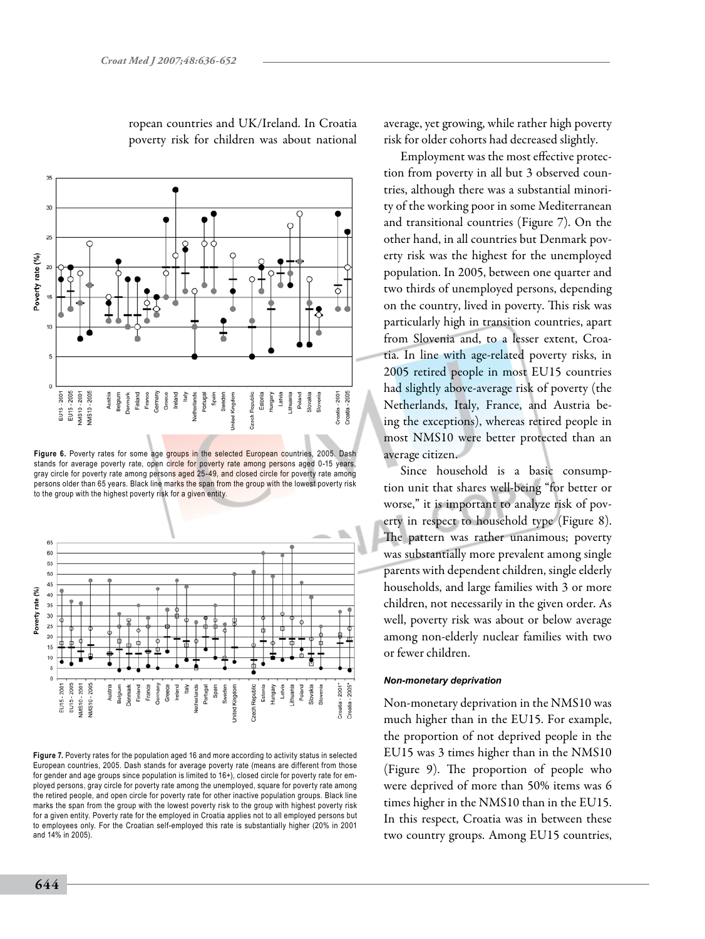

ropean countries and UK/Ireland. In Croatia poverty risk for children was about national

**Figure 6.** Poverty rates for some age groups in the selected European countries, 2005. Dash stands for average poverty rate, open circle for poverty rate among persons aged 0-15 years, gray circle for poverty rate among persons aged 25-49, and closed circle for poverty rate among persons older than 65 years. Black line marks the span from the group with the lowest poverty risk to the group with the highest poverty risk for a given entity.



**Figure 7.** Poverty rates for the population aged 16 and more according to activity status in selected European countries, 2005. Dash stands for average poverty rate (means are different from those for gender and age groups since population is limited to 16+), closed circle for poverty rate for employed persons, gray circle for poverty rate among the unemployed, square for poverty rate among the retired people, and open circle for poverty rate for other inactive population groups. Black line marks the span from the group with the lowest poverty risk to the group with highest poverty risk for a given entity. Poverty rate for the employed in Croatia applies not to all employed persons but to employees only. For the Croatian self-employed this rate is substantially higher (20% in 2001 and 14% in 2005).

average, yet growing, while rather high poverty risk for older cohorts had decreased slightly.

Employment was the most effective protection from poverty in all but 3 observed countries, although there was a substantial minority of the working poor in some Mediterranean and transitional countries (Figure 7). On the other hand, in all countries but Denmark poverty risk was the highest for the unemployed population. In 2005, between one quarter and two thirds of unemployed persons, depending on the country, lived in poverty. This risk was particularly high in transition countries, apart from Slovenia and, to a lesser extent, Croatia. In line with age-related poverty risks, in 2005 retired people in most EU15 countries had slightly above-average risk of poverty (the Netherlands, Italy, France, and Austria being the exceptions), whereas retired people in most NMS10 were better protected than an average citizen.

Since household is a basic consumption unit that shares well-being "for better or worse," it is important to analyze risk of poverty in respect to household type (Figure 8). The pattern was rather unanimous; poverty was substantially more prevalent among single parents with dependent children, single elderly households, and large families with 3 or more children, not necessarily in the given order. As well, poverty risk was about or below average among non-elderly nuclear families with two or fewer children.

#### *Non-monetary deprivation*

Non-monetary deprivation in the NMS10 was much higher than in the EU15. For example, the proportion of not deprived people in the EU15 was 3 times higher than in the NMS10 (Figure 9). The proportion of people who were deprived of more than 50% items was 6 times higher in the NMS10 than in the EU15. In this respect, Croatia was in between these two country groups. Among EU15 countries,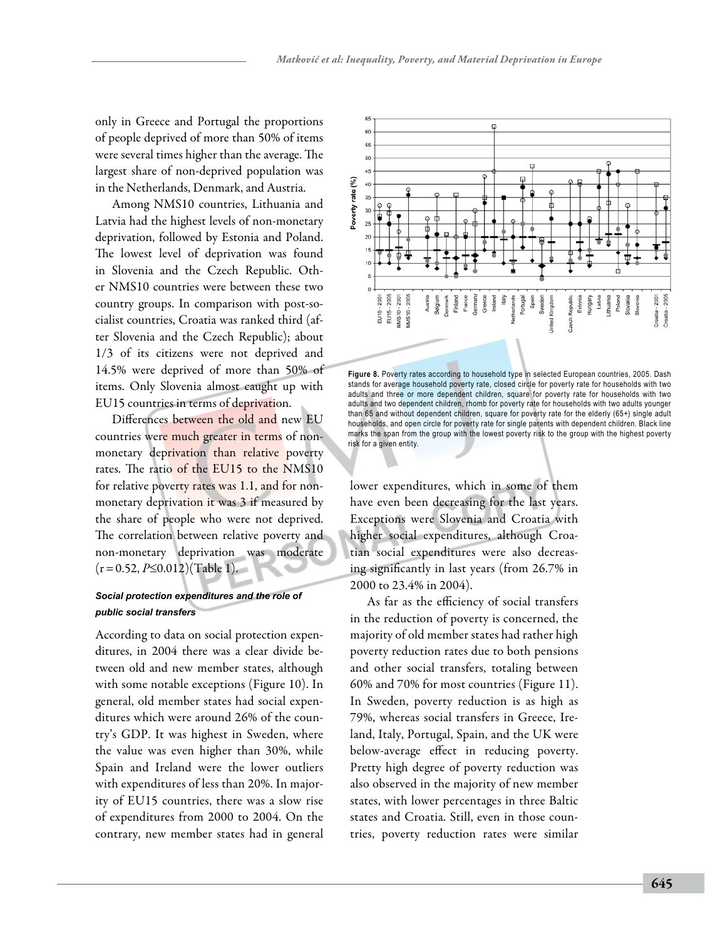only in Greece and Portugal the proportions of people deprived of more than 50% of items were several times higher than the average. The largest share of non-deprived population was in the Netherlands, Denmark, and Austria.

Among NMS10 countries, Lithuania and Latvia had the highest levels of non-monetary deprivation, followed by Estonia and Poland. The lowest level of deprivation was found in Slovenia and the Czech Republic. Other NMS10 countries were between these two country groups. In comparison with post-socialist countries, Croatia was ranked third (after Slovenia and the Czech Republic); about 1/3 of its citizens were not deprived and 14.5% were deprived of more than 50% of items. Only Slovenia almost caught up with EU15 countries in terms of deprivation.

Differences between the old and new EU countries were much greater in terms of nonmonetary deprivation than relative poverty rates. The ratio of the EU15 to the NMS10 for relative poverty rates was 1.1, and for nonmonetary deprivation it was 3 if measured by the share of people who were not deprived. The correlation between relative poverty and non-monetary deprivation was moderate (r=0.52, *P*≤0.012)(Table 1).

# *Social protection expenditures and the role of public social transfers*

According to data on social protection expenditures, in 2004 there was a clear divide between old and new member states, although with some notable exceptions (Figure 10). In general, old member states had social expenditures which were around 26% of the country's GDP. It was highest in Sweden, where the value was even higher than 30%, while Spain and Ireland were the lower outliers with expenditures of less than 20%. In majority of EU15 countries, there was a slow rise of expenditures from 2000 to 2004. On the contrary, new member states had in general



**Figure 8.** Poverty rates according to household type in selected European countries, 2005. Dash stands for average household poverty rate, closed circle for poverty rate for households with two adults and three or more dependent children, square for poverty rate for households with two adults and two dependent children, rhomb for poverty rate for households with two adults younger than 65 and without dependent children, square for poverty rate for the elderly (65+) single adult households, and open circle for poverty rate for single parents with dependent children. Black line marks the span from the group with the lowest poverty risk to the group with the highest poverty risk for a given entity.

lower expenditures, which in some of them have even been decreasing for the last years. Exceptions were Slovenia and Croatia with higher social expenditures, although Croatian social expenditures were also decreasing significantly in last years (from 26.7% in 2000 to 23.4% in 2004).

As far as the efficiency of social transfers in the reduction of poverty is concerned, the majority of old member states had rather high poverty reduction rates due to both pensions and other social transfers, totaling between 60% and 70% for most countries (Figure 11). In Sweden, poverty reduction is as high as 79%, whereas social transfers in Greece, Ireland, Italy, Portugal, Spain, and the UK were below-average effect in reducing poverty. Pretty high degree of poverty reduction was also observed in the majority of new member states, with lower percentages in three Baltic states and Croatia. Still, even in those countries, poverty reduction rates were similar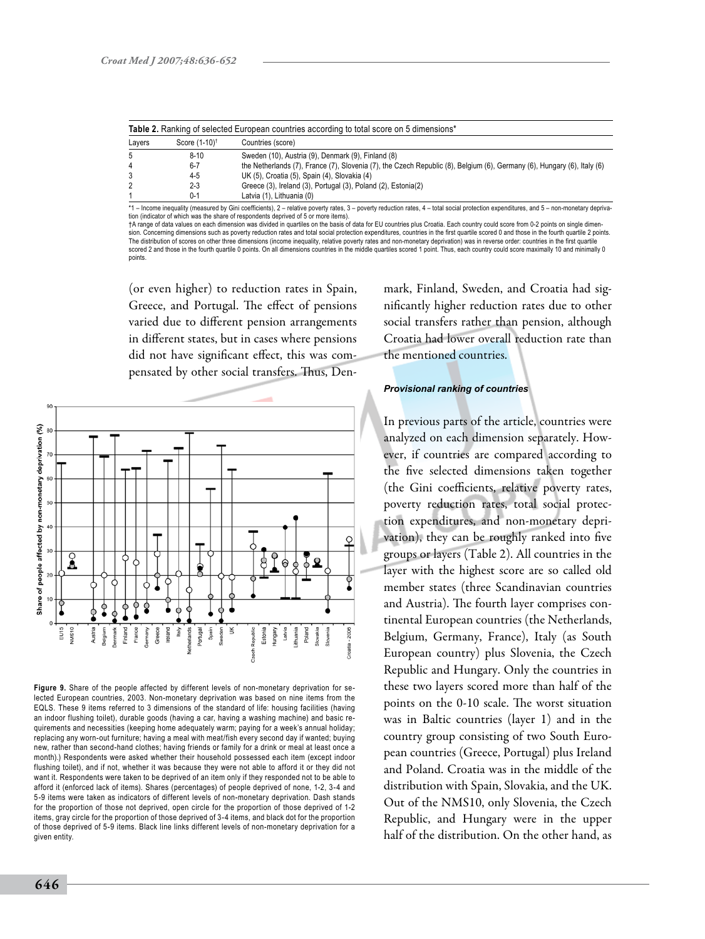| Layers | Score (1-10) <sup>†</sup> | Countries (score)                                                                                                       |
|--------|---------------------------|-------------------------------------------------------------------------------------------------------------------------|
| 5      | $8 - 10$                  | Sweden (10), Austria (9), Denmark (9), Finland (8)                                                                      |
| 4      | $6 - 7$                   | the Netherlands (7), France (7), Slovenia (7), the Czech Republic (8), Belgium (6), Germany (6), Hungary (6), Italy (6) |
|        | 4-5                       | UK (5), Croatia (5), Spain (4), Slovakia (4)                                                                            |
|        | $2 - 3$                   | Greece (3), Ireland (3), Portugal (3), Poland (2), Estonia(2)                                                           |
|        | $0 - 1$                   | Latvia (1), Lithuania (0)                                                                                               |

\*1 – Income inequality (measured by Gini coefficients), 2 – relative poverty rates, 3 – poverty reduction rates, 4 – total social protection expenditures, and 5 – non-monetary depriva-<br>tion (indicator of which was the shar †A range of data values on each dimension was divided in quartiles on the basis of data for EU countries plus Croatia. Each country could score from 0-2 points on single dimen-

sion. Concerning dimensions such as poverty reduction rates and total social protection expenditures, countries in the first quartile scored 0 and those in the fourth quartile 2 points. The distribution of scores on other three dimensions (income inequality, relative poverty rates and non-monetary deprivation) was in reverse order: countries in the first quartile scored 2 and those in the fourth quartile 0 points. On all dimensions countries in the middle quartiles scored 1 point. Thus, each country could score maximally 10 and minimally 0 points.

(or even higher) to reduction rates in Spain, Greece, and Portugal. The effect of pensions varied due to different pension arrangements in different states, but in cases where pensions did not have significant effect, this was compensated by other social transfers. Thus, Den-



**Figure 9.** Share of the people affected by different levels of non-monetary deprivation for selected European countries, 2003. Non-monetary deprivation was based on nine items from the EQLS. These 9 items referred to 3 dimensions of the standard of life: housing facilities (having an indoor flushing toilet), durable goods (having a car, having a washing machine) and basic requirements and necessities (keeping home adequately warm; paying for a week's annual holiday; replacing any worn-out furniture; having a meal with meat/fish every second day if wanted; buying new, rather than second-hand clothes; having friends or family for a drink or meal at least once a month).) Respondents were asked whether their household possessed each item (except indoor flushing toilet), and if not, whether it was because they were not able to afford it or they did not want it. Respondents were taken to be deprived of an item only if they responded not to be able to afford it (enforced lack of items). Shares (percentages) of people deprived of none, 1-2, 3-4 and 5-9 items were taken as indicators of different levels of non-monetary deprivation. Dash stands for the proportion of those not deprived, open circle for the proportion of those deprived of 1-2 items, gray circle for the proportion of those deprived of 3-4 items, and black dot for the proportion of those deprived of 5-9 items. Black line links different levels of non-monetary deprivation for a given entity.

mark, Finland, Sweden, and Croatia had significantly higher reduction rates due to other social transfers rather than pension, although Croatia had lower overall reduction rate than the mentioned countries.

#### *Provisional ranking of countries*

In previous parts of the article, countries were analyzed on each dimension separately. However, if countries are compared according to the five selected dimensions taken together (the Gini coefficients, relative poverty rates, poverty reduction rates, total social protection expenditures, and non-monetary deprivation), they can be roughly ranked into five groups or layers (Table 2). All countries in the layer with the highest score are so called old member states (three Scandinavian countries and Austria). The fourth layer comprises continental European countries (the Netherlands, Belgium, Germany, France), Italy (as South European country) plus Slovenia, the Czech Republic and Hungary. Only the countries in these two layers scored more than half of the points on the 0-10 scale. The worst situation was in Baltic countries (layer 1) and in the country group consisting of two South European countries (Greece, Portugal) plus Ireland and Poland. Croatia was in the middle of the distribution with Spain, Slovakia, and the UK. Out of the NMS10, only Slovenia, the Czech Republic, and Hungary were in the upper half of the distribution. On the other hand, as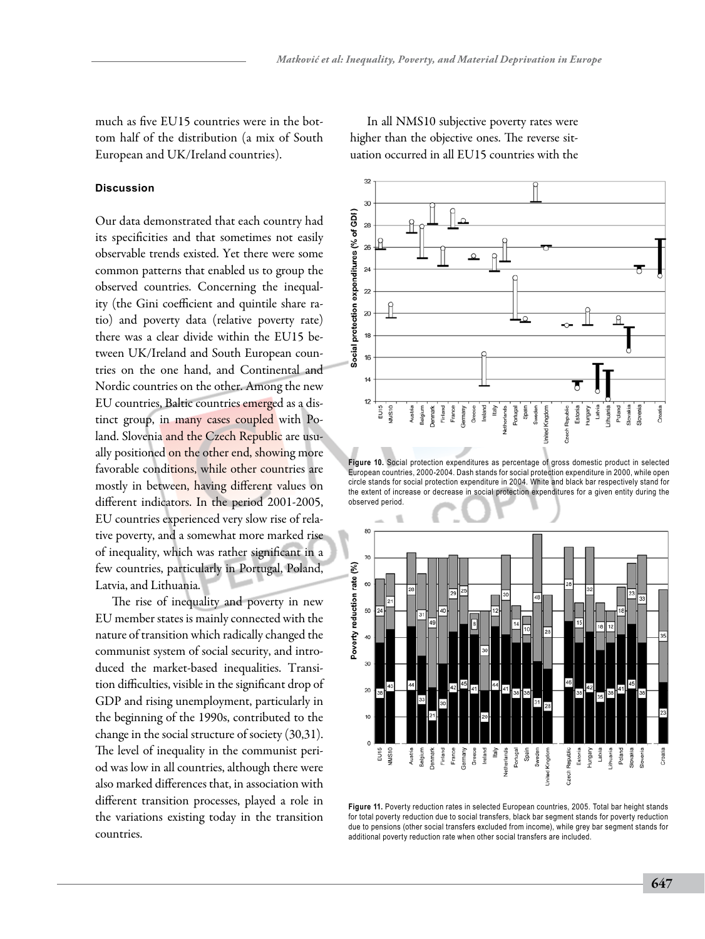much as five EU15 countries were in the bottom half of the distribution (a mix of South European and UK/Ireland countries).

## **Discussion**

Our data demonstrated that each country had its specificities and that sometimes not easily observable trends existed. Yet there were some common patterns that enabled us to group the observed countries. Concerning the inequality (the Gini coefficient and quintile share ratio) and poverty data (relative poverty rate) there was a clear divide within the EU15 between UK/Ireland and South European countries on the one hand, and Continental and Nordic countries on the other. Among the new EU countries, Baltic countries emerged as a distinct group, in many cases coupled with Poland. Slovenia and the Czech Republic are usually positioned on the other end, showing more favorable conditions, while other countries are mostly in between, having different values on different indicators. In the period 2001-2005, EU countries experienced very slow rise of relative poverty, and a somewhat more marked rise of inequality, which was rather significant in a few countries, particularly in Portugal, Poland, Latvia, and Lithuania.

The rise of inequality and poverty in new EU member states is mainly connected with the nature of transition which radically changed the communist system of social security, and introduced the market-based inequalities. Transition difficulties, visible in the significant drop of GDP and rising unemployment, particularly in the beginning of the 1990s, contributed to the change in the social structure of society (30,31). The level of inequality in the communist period was low in all countries, although there were also marked differences that, in association with different transition processes, played a role in the variations existing today in the transition countries.

In all NMS10 subjective poverty rates were higher than the objective ones. The reverse situation occurred in all EU15 countries with the



**Figure 10.** Social protection expenditures as percentage of gross domestic product in selected European countries, 2000-2004. Dash stands for social protection expenditure in 2000, while open circle stands for social protection expenditure in 2004. White and black bar respectively stand for the extent of increase or decrease in social protection expenditures for a given entity during the observed period.



**Figure 11.** Poverty reduction rates in selected European countries, 2005. Total bar height stands for total poverty reduction due to social transfers, black bar segment stands for poverty reduction due to pensions (other social transfers excluded from income), while grey bar segment stands for additional poverty reduction rate when other social transfers are included.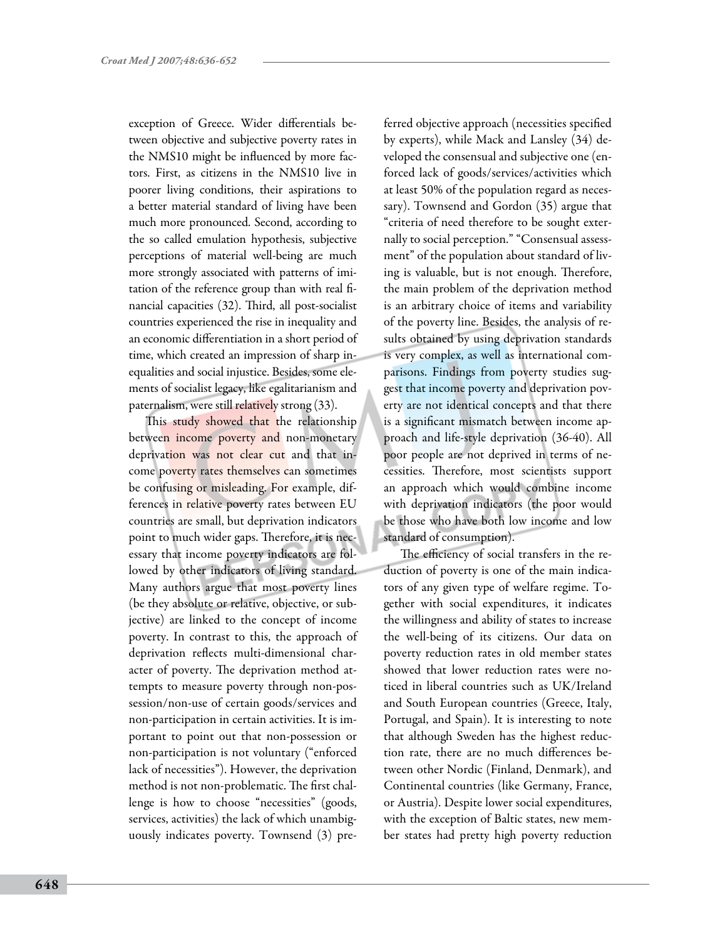exception of Greece. Wider differentials between objective and subjective poverty rates in the NMS10 might be influenced by more factors. First, as citizens in the NMS10 live in poorer living conditions, their aspirations to a better material standard of living have been much more pronounced. Second, according to the so called emulation hypothesis, subjective perceptions of material well-being are much more strongly associated with patterns of imitation of the reference group than with real financial capacities (32). Third, all post-socialist countries experienced the rise in inequality and an economic differentiation in a short period of time, which created an impression of sharp inequalities and social injustice. Besides, some elements of socialist legacy, like egalitarianism and paternalism, were still relatively strong (33).

This study showed that the relationship between income poverty and non-monetary deprivation was not clear cut and that income poverty rates themselves can sometimes be confusing or misleading. For example, differences in relative poverty rates between EU countries are small, but deprivation indicators point to much wider gaps. Therefore, it is necessary that income poverty indicators are followed by other indicators of living standard. Many authors argue that most poverty lines (be they absolute or relative, objective, or subjective) are linked to the concept of income poverty. In contrast to this, the approach of deprivation reflects multi-dimensional character of poverty. The deprivation method attempts to measure poverty through non-possession/non-use of certain goods/services and non-participation in certain activities. It is important to point out that non-possession or non-participation is not voluntary ("enforced lack of necessities"). However, the deprivation method is not non-problematic. The first challenge is how to choose "necessities" (goods, services, activities) the lack of which unambiguously indicates poverty. Townsend (3) preferred objective approach (necessities specified by experts), while Mack and Lansley (34) developed the consensual and subjective one (enforced lack of goods/services/activities which at least 50% of the population regard as necessary). Townsend and Gordon (35) argue that "criteria of need therefore to be sought externally to social perception." "Consensual assessment" of the population about standard of living is valuable, but is not enough. Therefore, the main problem of the deprivation method is an arbitrary choice of items and variability of the poverty line. Besides, the analysis of results obtained by using deprivation standards is very complex, as well as international comparisons. Findings from poverty studies suggest that income poverty and deprivation poverty are not identical concepts and that there is a significant mismatch between income approach and life-style deprivation (36-40). All poor people are not deprived in terms of necessities. Therefore, most scientists support an approach which would combine income with deprivation indicators (the poor would be those who have both low income and low standard of consumption).

The efficiency of social transfers in the reduction of poverty is one of the main indicators of any given type of welfare regime. Together with social expenditures, it indicates the willingness and ability of states to increase the well-being of its citizens. Our data on poverty reduction rates in old member states showed that lower reduction rates were noticed in liberal countries such as UK/Ireland and South European countries (Greece, Italy, Portugal, and Spain). It is interesting to note that although Sweden has the highest reduction rate, there are no much differences between other Nordic (Finland, Denmark), and Continental countries (like Germany, France, or Austria). Despite lower social expenditures, with the exception of Baltic states, new member states had pretty high poverty reduction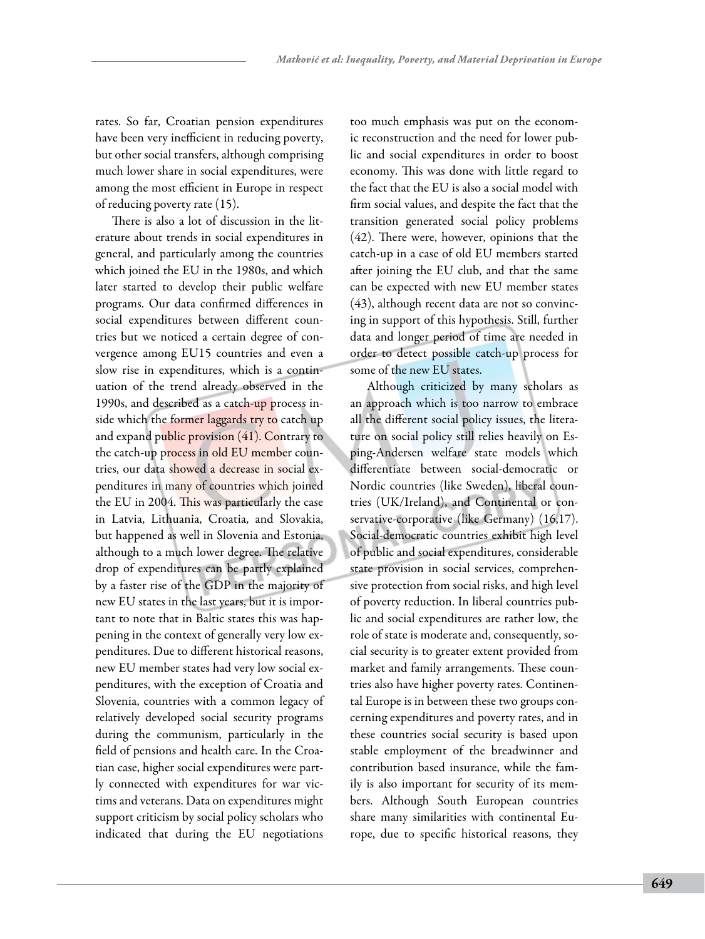rates. So far, Croatian pension expenditures have been very inefficient in reducing poverty, but other social transfers, although comprising much lower share in social expenditures, were among the most efficient in Europe in respect of reducing poverty rate (15).

There is also a lot of discussion in the literature about trends in social expenditures in general, and particularly among the countries which joined the EU in the 1980s, and which later started to develop their public welfare programs. Our data confirmed differences in social expenditures between different countries but we noticed a certain degree of convergence among EU15 countries and even a slow rise in expenditures, which is a continuation of the trend already observed in the 1990s, and described as a catch-up process inside which the former laggards try to catch up and expand public provision (41). Contrary to the catch-up process in old EU member countries, our data showed a decrease in social expenditures in many of countries which joined the EU in 2004. This was particularly the case in Latvia, Lithuania, Croatia, and Slovakia, but happened as well in Slovenia and Estonia, although to a much lower degree. The relative drop of expenditures can be partly explained by a faster rise of the GDP in the majority of new EU states in the last years, but it is important to note that in Baltic states this was happening in the context of generally very low expenditures. Due to different historical reasons, new EU member states had very low social expenditures, with the exception of Croatia and Slovenia, countries with a common legacy of relatively developed social security programs during the communism, particularly in the field of pensions and health care. In the Croatian case, higher social expenditures were partly connected with expenditures for war victims and veterans. Data on expenditures might support criticism by social policy scholars who indicated that during the EU negotiations

too much emphasis was put on the economic reconstruction and the need for lower public and social expenditures in order to boost economy. This was done with little regard to the fact that the EU is also a social model with firm social values, and despite the fact that the transition generated social policy problems (42). There were, however, opinions that the catch-up in a case of old EU members started after joining the EU club, and that the same can be expected with new EU member states (43), although recent data are not so convincing in support of this hypothesis. Still, further data and longer period of time are needed in order to detect possible catch-up process for some of the new EU states.

Although criticized by many scholars as an approach which is too narrow to embrace all the different social policy issues, the literature on social policy still relies heavily on Esping-Andersen welfare state models which differentiate between social-democratic or Nordic countries (like Sweden), liberal countries (UK/Ireland), and Continental or conservative-corporative (like Germany) (16,17). Social-democratic countries exhibit high level of public and social expenditures, considerable state provision in social services, comprehensive protection from social risks, and high level of poverty reduction. In liberal countries public and social expenditures are rather low, the role of state is moderate and, consequently, social security is to greater extent provided from market and family arrangements. These countries also have higher poverty rates. Continental Europe is in between these two groups concerning expenditures and poverty rates, and in these countries social security is based upon stable employment of the breadwinner and contribution based insurance, while the family is also important for security of its members. Although South European countries share many similarities with continental Europe, due to specific historical reasons, they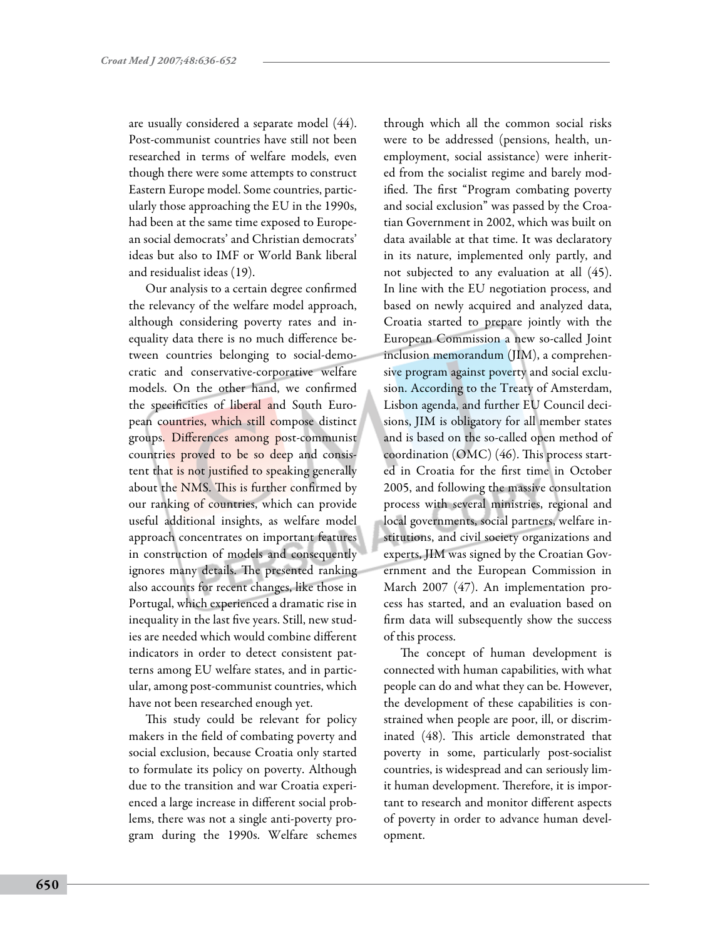are usually considered a separate model (44). Post-communist countries have still not been researched in terms of welfare models, even though there were some attempts to construct Eastern Europe model. Some countries, particularly those approaching the EU in the 1990s, had been at the same time exposed to European social democrats' and Christian democrats' ideas but also to IMF or World Bank liberal and residualist ideas (19).

Our analysis to a certain degree confirmed the relevancy of the welfare model approach, although considering poverty rates and inequality data there is no much difference between countries belonging to social-democratic and conservative-corporative welfare models. On the other hand, we confirmed the specificities of liberal and South European countries, which still compose distinct groups. Differences among post-communist countries proved to be so deep and consistent that is not justified to speaking generally about the NMS. This is further confirmed by our ranking of countries, which can provide useful additional insights, as welfare model approach concentrates on important features in construction of models and consequently ignores many details. The presented ranking also accounts for recent changes, like those in Portugal, which experienced a dramatic rise in inequality in the last five years. Still, new studies are needed which would combine different indicators in order to detect consistent patterns among EU welfare states, and in particular, among post-communist countries, which have not been researched enough yet.

This study could be relevant for policy makers in the field of combating poverty and social exclusion, because Croatia only started to formulate its policy on poverty. Although due to the transition and war Croatia experienced a large increase in different social problems, there was not a single anti-poverty program during the 1990s. Welfare schemes through which all the common social risks were to be addressed (pensions, health, unemployment, social assistance) were inherited from the socialist regime and barely modified. The first "Program combating poverty and social exclusion" was passed by the Croatian Government in 2002, which was built on data available at that time. It was declaratory in its nature, implemented only partly, and not subjected to any evaluation at all (45). In line with the EU negotiation process, and based on newly acquired and analyzed data, Croatia started to prepare jointly with the European Commission a new so-called Joint inclusion memorandum (JIM), a comprehensive program against poverty and social exclusion. According to the Treaty of Amsterdam, Lisbon agenda, and further EU Council decisions, JIM is obligatory for all member states and is based on the so-called open method of coordination (OMC) (46). This process started in Croatia for the first time in October 2005, and following the massive consultation process with several ministries, regional and local governments, social partners, welfare institutions, and civil society organizations and experts, JIM was signed by the Croatian Government and the European Commission in March 2007 (47). An implementation process has started, and an evaluation based on firm data will subsequently show the success of this process.

The concept of human development is connected with human capabilities, with what people can do and what they can be. However, the development of these capabilities is constrained when people are poor, ill, or discriminated (48). This article demonstrated that poverty in some, particularly post-socialist countries, is widespread and can seriously limit human development. Therefore, it is important to research and monitor different aspects of poverty in order to advance human development.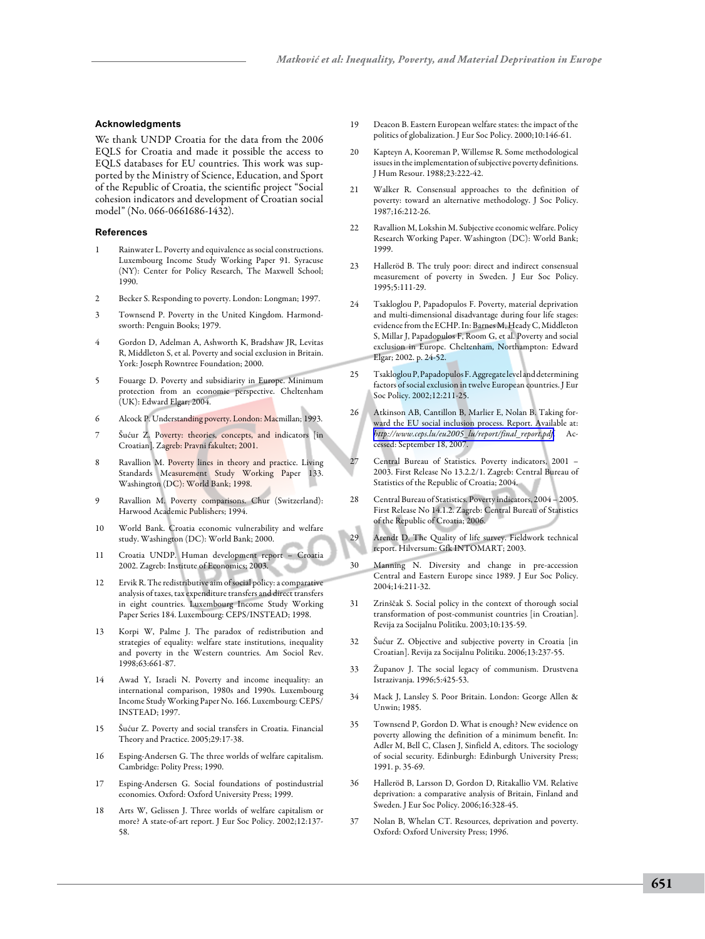#### **Acknowledgments**

We thank UNDP Croatia for the data from the 2006 EQLS for Croatia and made it possible the access to EQLS databases for EU countries. This work was supported by the Ministry of Science, Education, and Sport of the Republic of Croatia, the scientific project "Social cohesion indicators and development of Croatian social model" (No. 066-0661686-1432).

#### **References**

- Rainwater L. Poverty and equivalence as social constructions. Luxembourg Income Study Working Paper 91. Syracuse (NY): Center for Policy Research, The Maxwell School; 1990.
- 2 Becker S. Responding to poverty. London: Longman; 1997.
- 3 Townsend P. Poverty in the United Kingdom. Harmondsworth: Penguin Books; 1979.
- 4 Gordon D, Adelman A, Ashworth K, Bradshaw JR, Levitas R, Middleton S, et al. Poverty and social exclusion in Britain. York: Joseph Rowntree Foundation; 2000.
- 5 Fouarge D. Poverty and subsidiarity in Europe. Minimum protection from an economic perspective. Cheltenham (UK): Edward Elgar; 2004.
- 6 Alcock P. Understanding poverty. London: Macmillan; 1993.
- Šućur Z. Poverty: theories, concepts, and indicators [in Croatian]. Zagreb: Pravni fakultet; 2001.
- Ravallion M. Poverty lines in theory and practice. Living Standards Measurement Study Working Paper 133. Washington (DC): World Bank; 1998.
- 9 Ravallion M. Poverty comparisons. Chur (Switzerland): Harwood Academic Publishers; 1994.
- 10 World Bank. Croatia economic vulnerability and welfare study. Washington (DC): World Bank; 2000.
- 11 Croatia UNDP. Human development report Croatia 2002. Zagreb: Institute of Economics; 2003.
- 12 Ervik R. The redistributive aim of social policy: a comparative analysis of taxes, tax expenditure transfers and direct transfers in eight countries. Luxembourg Income Study Working Paper Series 184. Luxembourg: CEPS/INSTEAD; 1998.
- 13 Korpi W, Palme J. The paradox of redistribution and strategies of equality: welfare state institutions, inequality and poverty in the Western countries. Am Sociol Rev. 1998;63:661-87.
- 14 Awad Y, Israeli N. Poverty and income inequality: an international comparison, 1980s and 1990s. Luxembourg Income Study Working Paper No. 166. Luxembourg: CEPS/ INSTEAD; 1997.
- 15 Šućur Z. Poverty and social transfers in Croatia. Financial Theory and Practice. 2005;29:17-38.
- 16 Esping-Andersen G. The three worlds of welfare capitalism. Cambridge: Polity Press; 1990.
- 17 Esping-Andersen G. Social foundations of postindustrial economies. Oxford: Oxford University Press; 1999.
- 18 Arts W, Gelissen J. Three worlds of welfare capitalism or more? A state-of-art report. J Eur Soc Policy. 2002;12:137- 58.
- 19 Deacon B. Eastern European welfare states: the impact of the politics of globalization. J Eur Soc Policy. 2000;10:146-61.
- 20 Kapteyn A, Kooreman P, Willemse R. Some methodological issues in the implementation of subjective poverty definitions. J Hum Resour. 1988;23:222-42.
- 21 Walker R. Consensual approaches to the definition of poverty: toward an alternative methodology. J Soc Policy. 1987;16:212-26.
- 22 Ravallion M, Lokshin M. Subjective economic welfare. Policy Research Working Paper. Washington (DC): World Bank; 1999.
- 23 Halleröd B. The truly poor: direct and indirect consensual measurement of poverty in Sweden. J Eur Soc Policy. 1995;5:111-29.
- 24 Tsakloglou P, Papadopulos F. Poverty, material deprivation and multi-dimensional disadvantage during four life stages: evidence from the ECHP. In: Barnes M, Heady C, Middleton S, Millar J, Papadopulos F, Room G, et al. Poverty and social exclusion in Europe. Cheltenham, Northampton: Edward Elgar; 2002. p. 24-52.
- 25 Tsakloglou P, Papadopulos F. Aggregate level and determining factors of social exclusion in twelve European countries. J Eur Soc Policy. 2002;12:211-25.
- 26 Atkinson AB, Cantillon B, Marlier E, Nolan B. Taking forward the EU social inclusion process. Report. Available at: *[http://www.ceps.lu/eu2005\\_lu/report/final\\_report.pdf](http://www.ceps.lu/eu2005_lu/report/final_report.pdf)*. Accessed: September 18, 2007.
- 27 Central Bureau of Statistics. Poverty indicators, 2001 2003. First Release No 13.2.2/1. Zagreb: Central Bureau of Statistics of the Republic of Croatia; 2004.
- 28 Central Bureau of Statistics. Poverty indicators, 2004 2005. First Release No 14.1.2. Zagreb: Central Bureau of Statistics of the Republic of Croatia; 2006.
- 29 Arendt D. The Quality of life survey. Fieldwork technical report. Hilversum: Gfk INTOMART; 2003.
- 30 Manning N. Diversity and change in pre-accession Central and Eastern Europe since 1989. J Eur Soc Policy. 2004;14:211-32.
- 31 Zrinščak S. Social policy in the context of thorough social transformation of post-communist countries [in Croatian]. Revija za Socijalnu Politiku. 2003;10:135-59.
- 32 Šućur Z. Objective and subjective poverty in Croatia [in Croatian]. Revija za Socijalnu Politiku. 2006;13:237-55.
- 33 Županov J. The social legacy of communism. Drustvena Istrazivanja. 1996;5:425-53.
- 34 Mack J, Lansley S. Poor Britain. London: George Allen & Unwin; 1985.
- 35 Townsend P, Gordon D. What is enough? New evidence on poverty allowing the definition of a minimum benefit. In: Adler M, Bell C, Clasen J, Sinfield A, editors. The sociology of social security. Edinburgh: Edinburgh University Press; 1991. p. 35-69.
- 36 Halleröd B, Larsson D, Gordon D, Ritakallio VM. Relative deprivation: a comparative analysis of Britain, Finland and Sweden. J Eur Soc Policy. 2006;16:328-45.
- 37 Nolan B, Whelan CT. Resources, deprivation and poverty. Oxford: Oxford University Press; 1996.